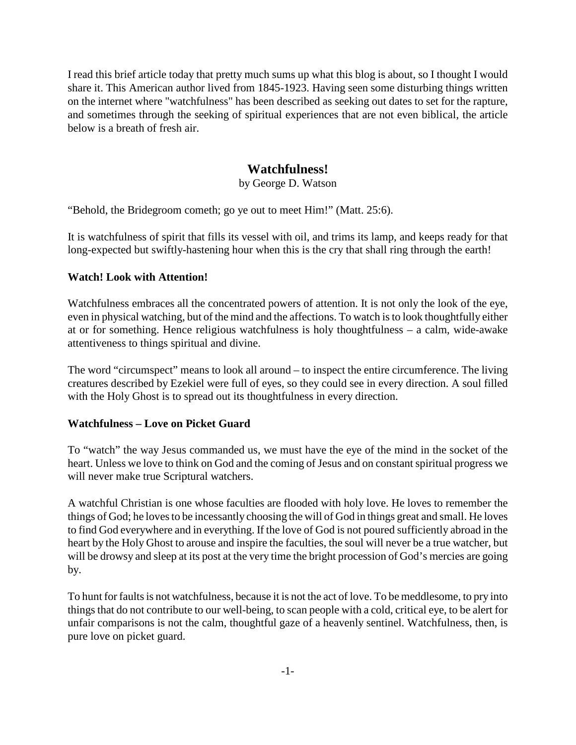I read this brief article today that pretty much sums up what this blog is about, so I thought I would share it. This American author lived from 1845-1923. Having seen some disturbing things written on the internet where "watchfulness" has been described as seeking out dates to set for the rapture, and sometimes through the seeking of spiritual experiences that are not even biblical, the article below is a breath of fresh air.

# **Watchfulness!**

by George D. Watson

"Behold, the Bridegroom cometh; go ye out to meet Him!" (Matt. 25:6).

It is watchfulness of spirit that fills its vessel with oil, and trims its lamp, and keeps ready for that long-expected but swiftly-hastening hour when this is the cry that shall ring through the earth!

#### **Watch! Look with Attention!**

Watchfulness embraces all the concentrated powers of attention. It is not only the look of the eye, even in physical watching, but of the mind and the affections. To watch is to look thoughtfully either at or for something. Hence religious watchfulness is holy thoughtfulness – a calm, wide-awake attentiveness to things spiritual and divine.

The word "circumspect" means to look all around – to inspect the entire circumference. The living creatures described by Ezekiel were full of eyes, so they could see in every direction. A soul filled with the Holy Ghost is to spread out its thoughtfulness in every direction.

#### **Watchfulness – Love on Picket Guard**

To "watch" the way Jesus commanded us, we must have the eye of the mind in the socket of the heart. Unless we love to think on God and the coming of Jesus and on constant spiritual progress we will never make true Scriptural watchers.

A watchful Christian is one whose faculties are flooded with holy love. He loves to remember the things of God; he loves to be incessantly choosing the will of God in things great and small. He loves to find God everywhere and in everything. If the love of God is not poured sufficiently abroad in the heart by the Holy Ghost to arouse and inspire the faculties, the soul will never be a true watcher, but will be drowsy and sleep at its post at the very time the bright procession of God's mercies are going by.

To hunt for faults is not watchfulness, because it is not the act of love. To be meddlesome, to pry into things that do not contribute to our well-being, to scan people with a cold, critical eye, to be alert for unfair comparisons is not the calm, thoughtful gaze of a heavenly sentinel. Watchfulness, then, is pure love on picket guard.